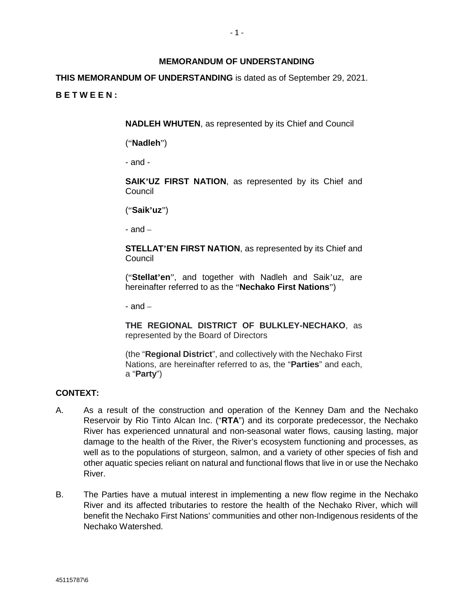### **MEMORANDUM OF UNDERSTANDING**

**THIS MEMORANDUM OF UNDERSTANDING** is dated as of September 29, 2021. **B E T W E E N :** 

**NADLEH WHUTEN**, as represented by its Chief and Council

("**Nadleh**")

- and -

**SAIK'UZ FIRST NATION**, as represented by its Chief and Council

("**Saik'uz**")

- and –

**STELLAT'EN FIRST NATION**, as represented by its Chief and Council

("**Stellat'en**", and together with Nadleh and Saik'uz, are hereinafter referred to as the "**Nechako First Nations**")

 $-$  and  $-$ 

**THE REGIONAL DISTRICT OF BULKLEY-NECHAKO**, as represented by the Board of Directors

(the "**Regional District**", and collectively with the Nechako First Nations, are hereinafter referred to as, the "**Parties**" and each, a "**Party**")

### **CONTEXT:**

- A. As a result of the construction and operation of the Kenney Dam and the Nechako Reservoir by Rio Tinto Alcan Inc. ("**RTA**") and its corporate predecessor, the Nechako River has experienced unnatural and non-seasonal water flows, causing lasting, major damage to the health of the River, the River's ecosystem functioning and processes, as well as to the populations of sturgeon, salmon, and a variety of other species of fish and other aquatic species reliant on natural and functional flows that live in or use the Nechako River.
- B. The Parties have a mutual interest in implementing a new flow regime in the Nechako River and its affected tributaries to restore the health of the Nechako River, which will benefit the Nechako First Nations' communities and other non-Indigenous residents of the Nechako Watershed.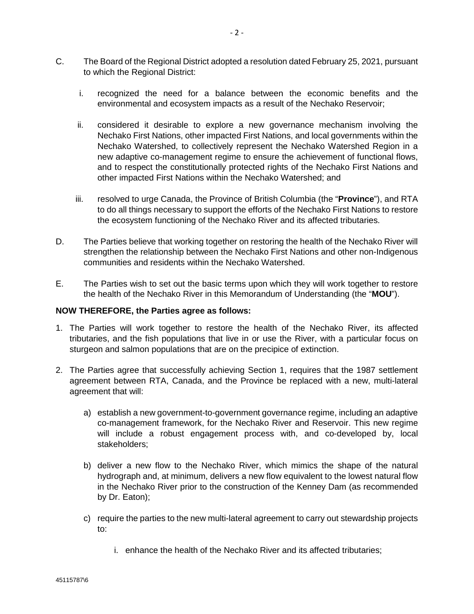- C. The Board of the Regional District adopted a resolution dated February 25, 2021, pursuant to which the Regional District:
	- i. recognized the need for a balance between the economic benefits and the environmental and ecosystem impacts as a result of the Nechako Reservoir;
	- ii. considered it desirable to explore a new governance mechanism involving the Nechako First Nations, other impacted First Nations, and local governments within the Nechako Watershed, to collectively represent the Nechako Watershed Region in a new adaptive co-management regime to ensure the achievement of functional flows, and to respect the constitutionally protected rights of the Nechako First Nations and other impacted First Nations within the Nechako Watershed; and
	- iii. resolved to urge Canada, the Province of British Columbia (the "**Province**"), and RTA to do all things necessary to support the efforts of the Nechako First Nations to restore the ecosystem functioning of the Nechako River and its affected tributaries.
- D. The Parties believe that working together on restoring the health of the Nechako River will strengthen the relationship between the Nechako First Nations and other non-Indigenous communities and residents within the Nechako Watershed.
- E. The Parties wish to set out the basic terms upon which they will work together to restore the health of the Nechako River in this Memorandum of Understanding (the "**MOU**").

### **NOW THEREFORE, the Parties agree as follows:**

- 1. The Parties will work together to restore the health of the Nechako River, its affected tributaries, and the fish populations that live in or use the River, with a particular focus on sturgeon and salmon populations that are on the precipice of extinction.
- 2. The Parties agree that successfully achieving Section 1, requires that the 1987 settlement agreement between RTA, Canada, and the Province be replaced with a new, multi-lateral agreement that will:
	- a) establish a new government-to-government governance regime, including an adaptive co-management framework, for the Nechako River and Reservoir. This new regime will include a robust engagement process with, and co-developed by, local stakeholders;
	- b) deliver a new flow to the Nechako River, which mimics the shape of the natural hydrograph and, at minimum, delivers a new flow equivalent to the lowest natural flow in the Nechako River prior to the construction of the Kenney Dam (as recommended by Dr. Eaton);
	- c) require the parties to the new multi-lateral agreement to carry out stewardship projects to:
		- i. enhance the health of the Nechako River and its affected tributaries;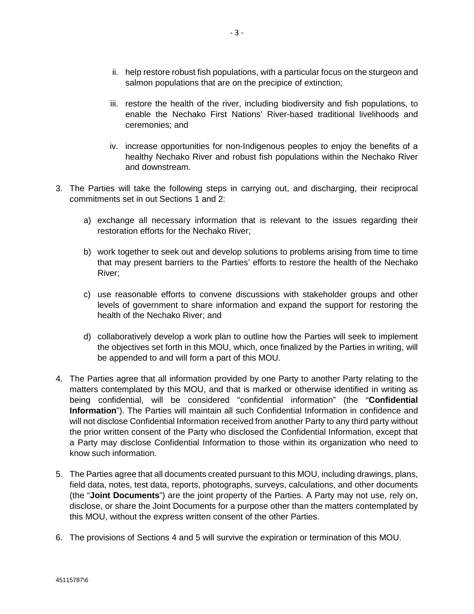- ii. help restore robust fish populations, with a particular focus on the sturgeon and salmon populations that are on the precipice of extinction;
- iii. restore the health of the river, including biodiversity and fish populations, to enable the Nechako First Nations' River-based traditional livelihoods and ceremonies; and
- iv. increase opportunities for non-Indigenous peoples to enjoy the benefits of a healthy Nechako River and robust fish populations within the Nechako River and downstream.
- 3. The Parties will take the following steps in carrying out, and discharging, their reciprocal commitments set in out Sections 1 and 2:
	- a) exchange all necessary information that is relevant to the issues regarding their restoration efforts for the Nechako River;
	- b) work together to seek out and develop solutions to problems arising from time to time that may present barriers to the Parties' efforts to restore the health of the Nechako River;
	- c) use reasonable efforts to convene discussions with stakeholder groups and other levels of government to share information and expand the support for restoring the health of the Nechako River; and
	- d) collaboratively develop a work plan to outline how the Parties will seek to implement the objectives set forth in this MOU, which, once finalized by the Parties in writing, will be appended to and will form a part of this MOU.
- 4. The Parties agree that all information provided by one Party to another Party relating to the matters contemplated by this MOU, and that is marked or otherwise identified in writing as being confidential, will be considered "confidential information" (the "**Confidential Information**"). The Parties will maintain all such Confidential Information in confidence and will not disclose Confidential Information received from another Party to any third party without the prior written consent of the Party who disclosed the Confidential Information, except that a Party may disclose Confidential Information to those within its organization who need to know such information.
- 5. The Parties agree that all documents created pursuant to this MOU, including drawings, plans, field data, notes, test data, reports, photographs, surveys, calculations, and other documents (the "**Joint Documents**") are the joint property of the Parties. A Party may not use, rely on, disclose, or share the Joint Documents for a purpose other than the matters contemplated by this MOU, without the express written consent of the other Parties.
- 6. The provisions of Sections 4 and 5 will survive the expiration or termination of this MOU.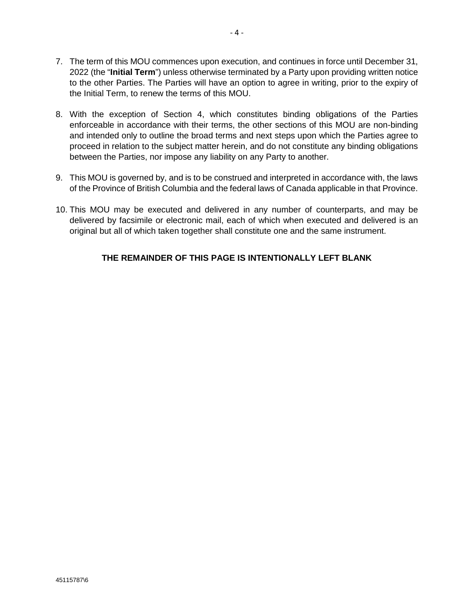- 7. The term of this MOU commences upon execution, and continues in force until December 31, 2022 (the "**Initial Term**") unless otherwise terminated by a Party upon providing written notice to the other Parties. The Parties will have an option to agree in writing, prior to the expiry of the Initial Term, to renew the terms of this MOU.
- 8. With the exception of Section 4, which constitutes binding obligations of the Parties enforceable in accordance with their terms, the other sections of this MOU are non-binding and intended only to outline the broad terms and next steps upon which the Parties agree to proceed in relation to the subject matter herein, and do not constitute any binding obligations between the Parties, nor impose any liability on any Party to another.
- 9. This MOU is governed by, and is to be construed and interpreted in accordance with, the laws of the Province of British Columbia and the federal laws of Canada applicable in that Province.
- 10. This MOU may be executed and delivered in any number of counterparts, and may be delivered by facsimile or electronic mail, each of which when executed and delivered is an original but all of which taken together shall constitute one and the same instrument.

# **THE REMAINDER OF THIS PAGE IS INTENTIONALLY LEFT BLANK**